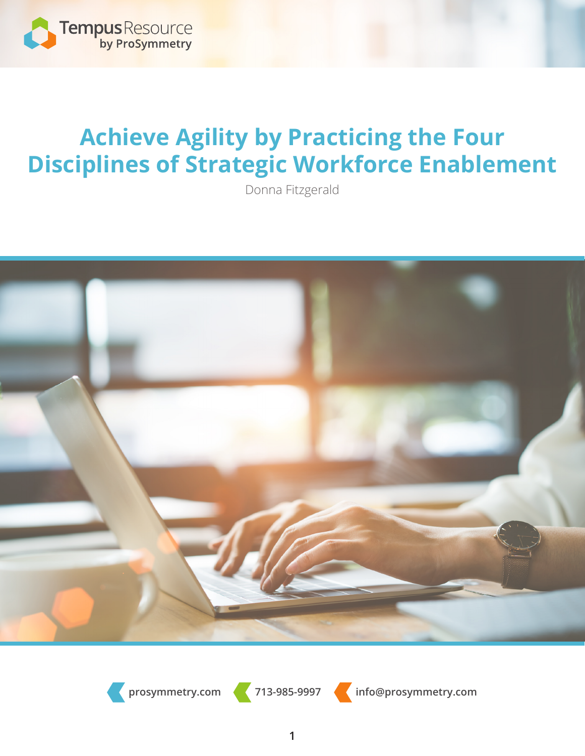

## **Achieve Agility by Practicing the Four Disciplines of Strategic Workforce Enablement**

Donna Fitzgerald



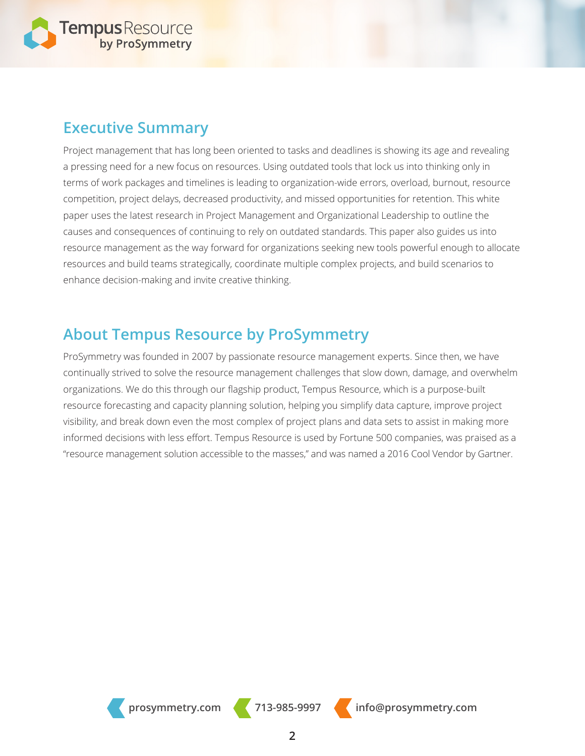

### **Executive Summary**

Project management that has long been oriented to tasks and deadlines is showing its age and revealing a pressing need for a new focus on resources. Using outdated tools that lock us into thinking only in terms of work packages and timelines is leading to organization-wide errors, overload, burnout, resource competition, project delays, decreased productivity, and missed opportunities for retention. This white paper uses the latest research in Project Management and Organizational Leadership to outline the causes and consequences of continuing to rely on outdated standards. This paper also guides us into resource management as the way forward for organizations seeking new tools powerful enough to allocate resources and build teams strategically, coordinate multiple complex projects, and build scenarios to enhance decision-making and invite creative thinking.

### **About Tempus Resource by ProSymmetry**

ProSymmetry was founded in 2007 by passionate resource management experts. Since then, we have continually strived to solve the resource management challenges that slow down, damage, and overwhelm organizations. We do this through our flagship product, Tempus Resource, which is a purpose-built resource forecasting and capacity planning solution, helping you simplify data capture, improve project visibility, and break down even the most complex of project plans and data sets to assist in making more informed decisions with less effort. Tempus Resource is used by Fortune 500 companies, was praised as a "resource management solution accessible to the masses," and was named a 2016 Cool Vendor by Gartner.

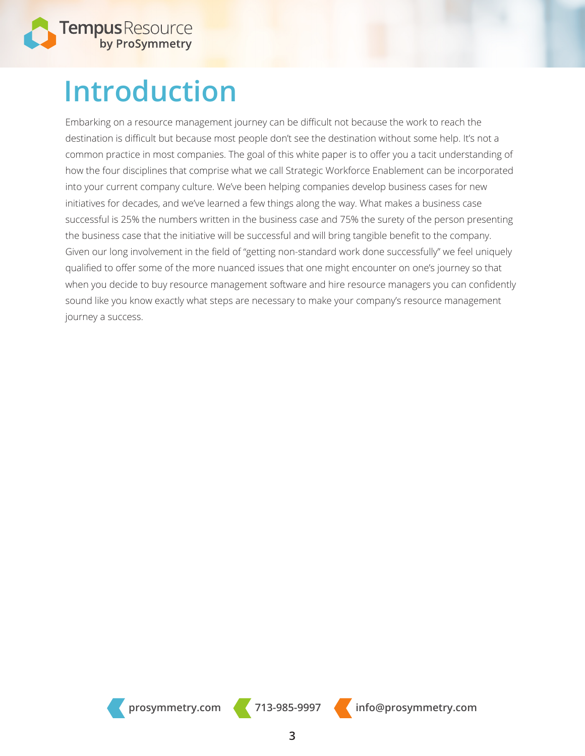

## **Introduction**

Embarking on a resource management journey can be difficult not because the work to reach the destination is difficult but because most people don't see the destination without some help. It's not a common practice in most companies. The goal of this white paper is to offer you a tacit understanding of how the four disciplines that comprise what we call Strategic Workforce Enablement can be incorporated into your current company culture. We've been helping companies develop business cases for new initiatives for decades, and we've learned a few things along the way. What makes a business case successful is 25% the numbers written in the business case and 75% the surety of the person presenting the business case that the initiative will be successful and will bring tangible benefit to the company. Given our long involvement in the field of "getting non-standard work done successfully" we feel uniquely qualified to offer some of the more nuanced issues that one might encounter on one's journey so that when you decide to buy resource management software and hire resource managers you can confidently sound like you know exactly what steps are necessary to make your company's resource management journey a success.

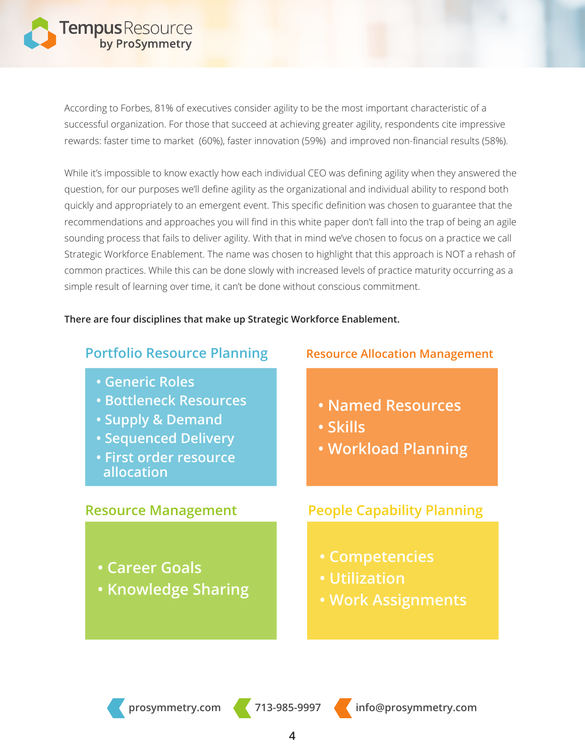

According to Forbes, 81% of executives consider agility to be the most important characteristic of a successful organization. For those that succeed at achieving greater agility, respondents cite impressive rewards: faster time to market (60%), faster innovation (59%) and improved non-financial results (58%).

While it's impossible to know exactly how each individual CEO was defining agility when they answered the question, for our purposes we'll define agility as the organizational and individual ability to respond both quickly and appropriately to an emergent event. This specific definition was chosen to guarantee that the recommendations and approaches you will find in this white paper don't fall into the trap of being an agile sounding process that fails to deliver agility. With that in mind we've chosen to focus on a practice we call Strategic Workforce Enablement. The name was chosen to highlight that this approach is NOT a rehash of common practices. While this can be done slowly with increased levels of practice maturity occurring as a simple result of learning over time, it can't be done without conscious commitment.

#### **There are four disciplines that make up Strategic Workforce Enablement.**

#### **Portfolio Resource Planning Resource Allocation Management**

- **Generic Roles**
- **Bottleneck Resources**
- **Supply & Demand**
- **Sequenced Delivery**
- **First order resource allocation**

- **Named Resources**
- **Skills**
- **Workload Planning**

- **Career Goals**
- **Knowledge Sharing**

#### **Resource Management People Capability Planning**

- **Competencies**
- **Utilization**
- **Work Assignments**

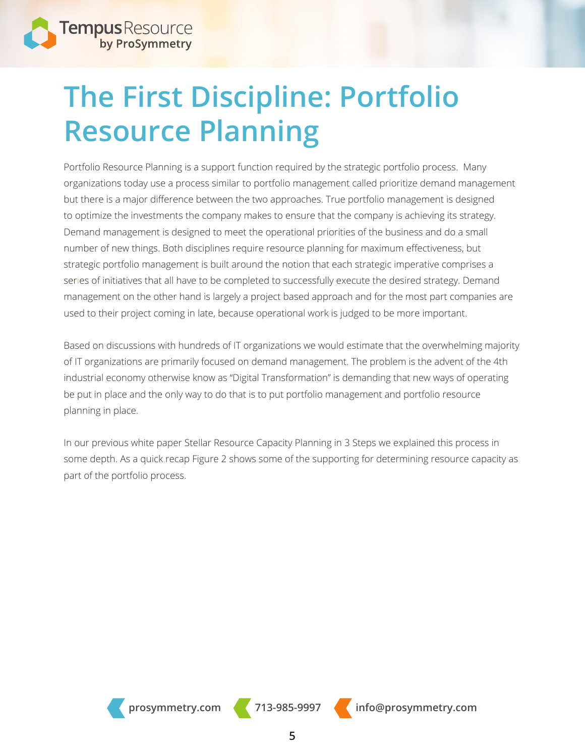

## **The First Discipline: Portfolio Resource Planning**

Portfolio Resource Planning is a support function required by the strategic portfolio process. Many organizations today use a process similar to portfolio management called prioritize demand management but there is a major difference between the two approaches. True portfolio management is designed to optimize the investments the company makes to ensure that the company is achieving its strategy. Demand management is designed to meet the operational priorities of the business and do a small number of new things. Both disciplines require resource planning for maximum effectiveness, but strategic portfolio management is built around the notion that each strategic imperative comprises a series of initiatives that all have to be completed to successfully execute the desired strategy. Demand management on the other hand is largely a project based approach and for the most part companies are used to their project coming in late, because operational work is judged to be more important.

Based on discussions with hundreds of IT organizations we would estimate that the overwhelming majority of IT organizations are primarily focused on demand management. The problem is the advent of the 4th industrial economy otherwise know as "Digital Transformation" is demanding that new ways of operating be put in place and the only way to do that is to put portfolio management and portfolio resource planning in place.

In our previous white paper Stellar Resource Capacity Planning in 3 Steps we explained this process in some depth. As a quick recap Figure 2 shows some of the supporting for determining resource capacity as part of the portfolio process.

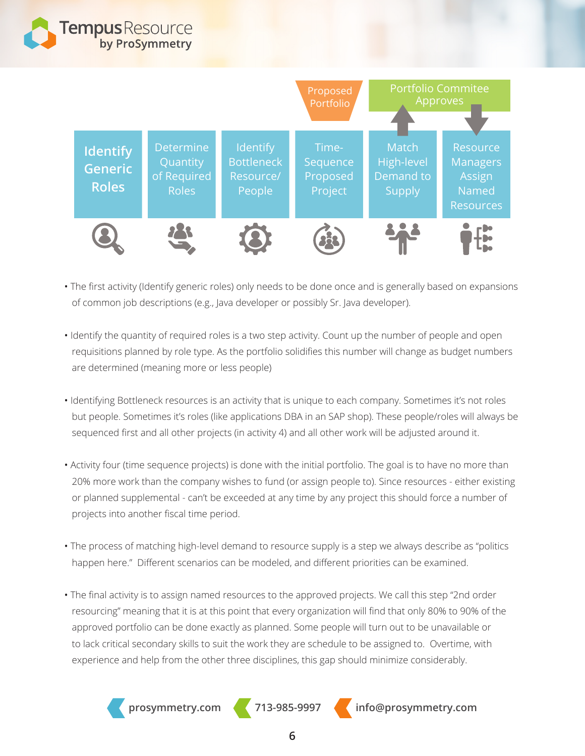

- The first activity (Identify generic roles) only needs to be done once and is generally based on expansions of common job descriptions (e.g., Java developer or possibly Sr. Java developer).
- Identify the quantity of required roles is a two step activity. Count up the number of people and open requisitions planned by role type. As the portfolio solidifies this number will change as budget numbers are determined (meaning more or less people)
- Identifying Bottleneck resources is an activity that is unique to each company. Sometimes it's not roles but people. Sometimes it's roles (like applications DBA in an SAP shop). These people/roles will always be sequenced first and all other projects (in activity 4) and all other work will be adjusted around it.
- Activity four (time sequence projects) is done with the initial portfolio. The goal is to have no more than 20% more work than the company wishes to fund (or assign people to). Since resources - either existing or planned supplemental - can't be exceeded at any time by any project this should force a number of projects into another fiscal time period.
- The process of matching high-level demand to resource supply is a step we always describe as "politics happen here." Different scenarios can be modeled, and different priorities can be examined.
- The final activity is to assign named resources to the approved projects. We call this step "2nd order resourcing" meaning that it is at this point that every organization will find that only 80% to 90% of the approved portfolio can be done exactly as planned. Some people will turn out to be unavailable or to lack critical secondary skills to suit the work they are schedule to be assigned to. Overtime, with experience and help from the other three disciplines, this gap should minimize considerably.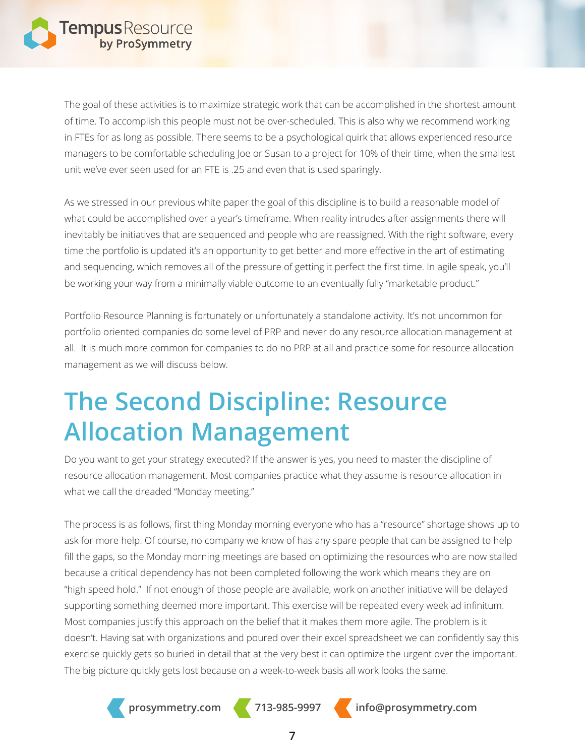

The goal of these activities is to maximize strategic work that can be accomplished in the shortest amount of time. To accomplish this people must not be over-scheduled. This is also why we recommend working in FTEs for as long as possible. There seems to be a psychological quirk that allows experienced resource managers to be comfortable scheduling Joe or Susan to a project for 10% of their time, when the smallest unit we've ever seen used for an FTE is .25 and even that is used sparingly.

As we stressed in our previous white paper the goal of this discipline is to build a reasonable model of what could be accomplished over a year's timeframe. When reality intrudes after assignments there will inevitably be initiatives that are sequenced and people who are reassigned. With the right software, every time the portfolio is updated it's an opportunity to get better and more effective in the art of estimating and sequencing, which removes all of the pressure of getting it perfect the first time. In agile speak, you'll be working your way from a minimally viable outcome to an eventually fully "marketable product."

Portfolio Resource Planning is fortunately or unfortunately a standalone activity. It's not uncommon for portfolio oriented companies do some level of PRP and never do any resource allocation management at all. It is much more common for companies to do no PRP at all and practice some for resource allocation management as we will discuss below.

## **The Second Discipline: Resource Allocation Management**

Do you want to get your strategy executed? If the answer is yes, you need to master the discipline of resource allocation management. Most companies practice what they assume is resource allocation in what we call the dreaded "Monday meeting."

The process is as follows, first thing Monday morning everyone who has a "resource" shortage shows up to ask for more help. Of course, no company we know of has any spare people that can be assigned to help fill the gaps, so the Monday morning meetings are based on optimizing the resources who are now stalled because a critical dependency has not been completed following the work which means they are on "high speed hold." If not enough of those people are available, work on another initiative will be delayed supporting something deemed more important. This exercise will be repeated every week ad infinitum. Most companies justify this approach on the belief that it makes them more agile. The problem is it doesn't. Having sat with organizations and poured over their excel spreadsheet we can confidently say this exercise quickly gets so buried in detail that at the very best it can optimize the urgent over the important. The big picture quickly gets lost because on a week-to-week basis all work looks the same.

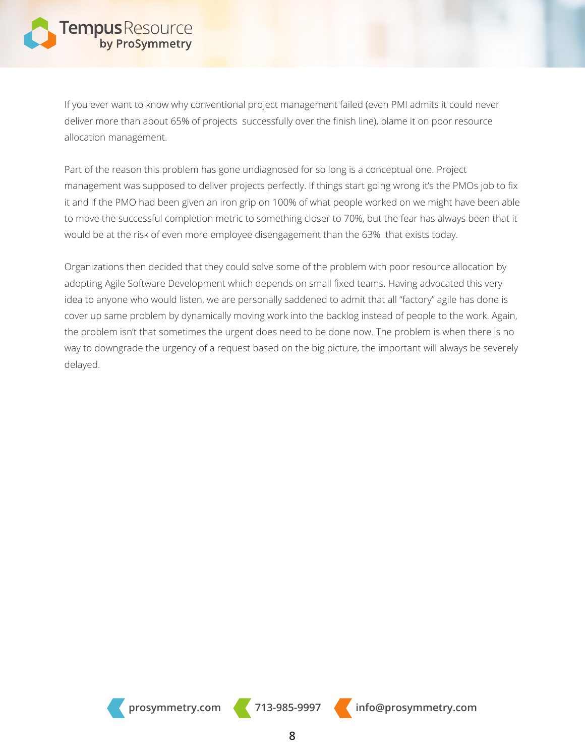If you ever want to know why conventional project management failed (even PMI admits it could never deliver more than about 65% of projects successfully over the finish line), blame it on poor resource allocation management.

Part of the reason this problem has gone undiagnosed for so long is a conceptual one. Project management was supposed to deliver projects perfectly. If things start going wrong it's the PMOs job to fix it and if the PMO had been given an iron grip on 100% of what people worked on we might have been able to move the successful completion metric to something closer to 70%, but the fear has always been that it would be at the risk of even more employee disengagement than the 63% that exists today.

Organizations then decided that they could solve some of the problem with poor resource allocation by adopting Agile Software Development which depends on small fixed teams. Having advocated this very idea to anyone who would listen, we are personally saddened to admit that all "factory" agile has done is cover up same problem by dynamically moving work into the backlog instead of people to the work. Again, the problem isn't that sometimes the urgent does need to be done now. The problem is when there is no way to downgrade the urgency of a request based on the big picture, the important will always be severely delayed.

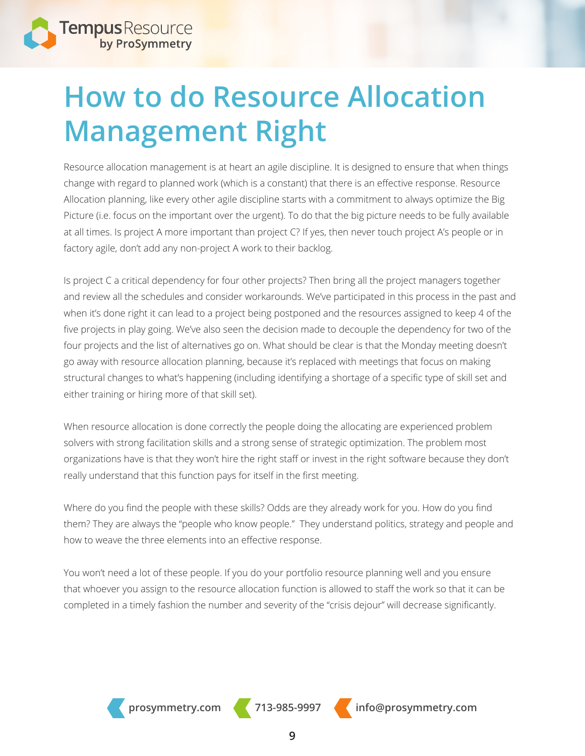

## **How to do Resource Allocation Management Right**

Resource allocation management is at heart an agile discipline. It is designed to ensure that when things change with regard to planned work (which is a constant) that there is an effective response. Resource Allocation planning, like every other agile discipline starts with a commitment to always optimize the Big Picture (i.e. focus on the important over the urgent). To do that the big picture needs to be fully available at all times. Is project A more important than project C? If yes, then never touch project A's people or in factory agile, don't add any non-project A work to their backlog.

Is project C a critical dependency for four other projects? Then bring all the project managers together and review all the schedules and consider workarounds. We've participated in this process in the past and when it's done right it can lead to a project being postponed and the resources assigned to keep 4 of the five projects in play going. We've also seen the decision made to decouple the dependency for two of the four projects and the list of alternatives go on. What should be clear is that the Monday meeting doesn't go away with resource allocation planning, because it's replaced with meetings that focus on making structural changes to what's happening (including identifying a shortage of a specific type of skill set and either training or hiring more of that skill set).

When resource allocation is done correctly the people doing the allocating are experienced problem solvers with strong facilitation skills and a strong sense of strategic optimization. The problem most organizations have is that they won't hire the right staff or invest in the right software because they don't really understand that this function pays for itself in the first meeting.

Where do you find the people with these skills? Odds are they already work for you. How do you find them? They are always the "people who know people." They understand politics, strategy and people and how to weave the three elements into an effective response.

You won't need a lot of these people. If you do your portfolio resource planning well and you ensure that whoever you assign to the resource allocation function is allowed to staff the work so that it can be completed in a timely fashion the number and severity of the "crisis dejour" will decrease significantly.

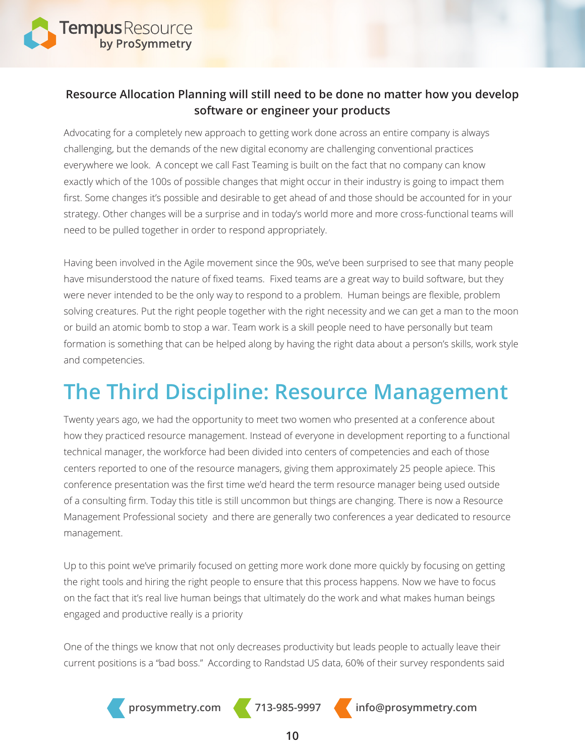

#### **Resource Allocation Planning will still need to be done no matter how you develop software or engineer your products**

Advocating for a completely new approach to getting work done across an entire company is always challenging, but the demands of the new digital economy are challenging conventional practices everywhere we look. A concept we call Fast Teaming is built on the fact that no company can know exactly which of the 100s of possible changes that might occur in their industry is going to impact them first. Some changes it's possible and desirable to get ahead of and those should be accounted for in your strategy. Other changes will be a surprise and in today's world more and more cross-functional teams will need to be pulled together in order to respond appropriately.

Having been involved in the Agile movement since the 90s, we've been surprised to see that many people have misunderstood the nature of fixed teams. Fixed teams are a great way to build software, but they were never intended to be the only way to respond to a problem. Human beings are flexible, problem solving creatures. Put the right people together with the right necessity and we can get a man to the moon or build an atomic bomb to stop a war. Team work is a skill people need to have personally but team formation is something that can be helped along by having the right data about a person's skills, work style and competencies.

## **The Third Discipline: Resource Management**

Twenty years ago, we had the opportunity to meet two women who presented at a conference about how they practiced resource management. Instead of everyone in development reporting to a functional technical manager, the workforce had been divided into centers of competencies and each of those centers reported to one of the resource managers, giving them approximately 25 people apiece. This conference presentation was the first time we'd heard the term resource manager being used outside of a consulting firm. Today this title is still uncommon but things are changing. There is now a Resource Management Professional society and there are generally two conferences a year dedicated to resource management.

Up to this point we've primarily focused on getting more work done more quickly by focusing on getting the right tools and hiring the right people to ensure that this process happens. Now we have to focus on the fact that it's real live human beings that ultimately do the work and what makes human beings engaged and productive really is a priority

One of the things we know that not only decreases productivity but leads people to actually leave their current positions is a "bad boss." According to Randstad US data, 60% of their survey respondents said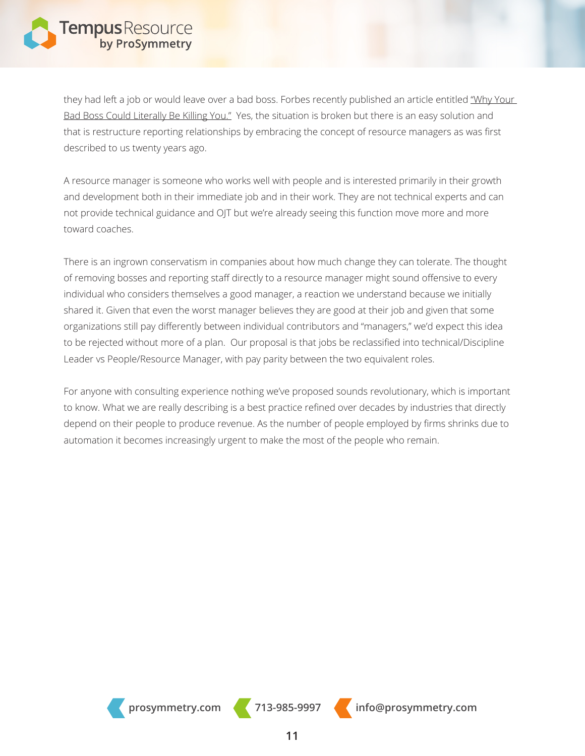

they had left a job or would leave over a bad boss. Forbes recently published an article entitled "Why Your Bad Boss Could Literally Be Killing You." Yes, the situation is broken but there is an easy solution and that is restructure reporting relationships by embracing the concept of resource managers as was first described to us twenty years ago.

A resource manager is someone who works well with people and is interested primarily in their growth and development both in their immediate job and in their work. They are not technical experts and can not provide technical guidance and OJT but we're already seeing this function move more and more toward coaches.

There is an ingrown conservatism in companies about how much change they can tolerate. The thought of removing bosses and reporting staff directly to a resource manager might sound offensive to every individual who considers themselves a good manager, a reaction we understand because we initially shared it. Given that even the worst manager believes they are good at their job and given that some organizations still pay differently between individual contributors and "managers," we'd expect this idea to be rejected without more of a plan. Our proposal is that jobs be reclassified into technical/Discipline Leader vs People/Resource Manager, with pay parity between the two equivalent roles.

For anyone with consulting experience nothing we've proposed sounds revolutionary, which is important to know. What we are really describing is a best practice refined over decades by industries that directly depend on their people to produce revenue. As the number of people employed by firms shrinks due to automation it becomes increasingly urgent to make the most of the people who remain.

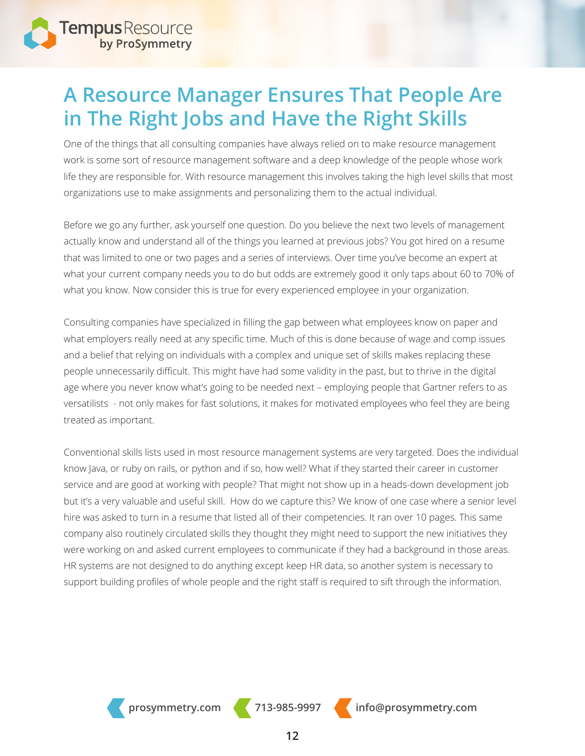

## **A Resource Manager Ensures That People Are in The Right Jobs and Have the Right Skills**

One of the things that all consulting companies have always relied on to make resource management work is some sort of resource management software and a deep knowledge of the people whose work life they are responsible for. With resource management this involves taking the high level skills that most organizations use to make assignments and personalizing them to the actual individual.

Before we go any further, ask yourself one question. Do you believe the next two levels of management actually know and understand all of the things you learned at previous jobs? You got hired on a resume that was limited to one or two pages and a series of interviews. Over time you've become an expert at what your current company needs you to do but odds are extremely good it only taps about 60 to 70% of what you know. Now consider this is true for every experienced employee in your organization.

Consulting companies have specialized in filling the gap between what employees know on paper and what employers really need at any specific time. Much of this is done because of wage and comp issues and a belief that relying on individuals with a complex and unique set of skills makes replacing these people unnecessarily difficult. This might have had some validity in the past, but to thrive in the digital age where you never know what's going to be needed next – employing people that Gartner refers to as versatilists - not only makes for fast solutions, it makes for motivated employees who feel they are being treated as important.

Conventional skills lists used in most resource management systems are very targeted. Does the individual know Java, or ruby on rails, or python and if so, how well? What if they started their career in customer service and are good at working with people? That might not show up in a heads-down development job but it's a very valuable and useful skill. How do we capture this? We know of one case where a senior level hire was asked to turn in a resume that listed all of their competencies. It ran over 10 pages. This same company also routinely circulated skills they thought they might need to support the new initiatives they were working on and asked current employees to communicate if they had a background in those areas. HR systems are not designed to do anything except keep HR data, so another system is necessary to support building profiles of whole people and the right staff is required to sift through the information.



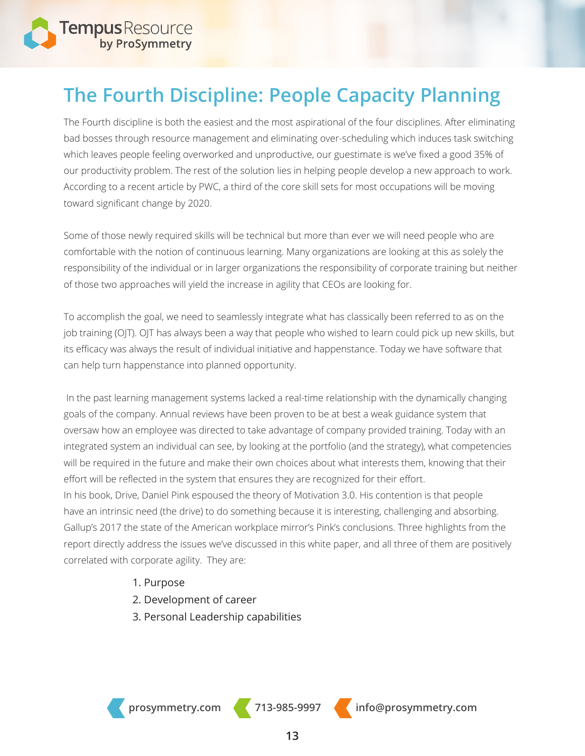

## **The Fourth Discipline: People Capacity Planning**

The Fourth discipline is both the easiest and the most aspirational of the four disciplines. After eliminating bad bosses through resource management and eliminating over-scheduling which induces task switching which leaves people feeling overworked and unproductive, our guestimate is we've fixed a good 35% of our productivity problem. The rest of the solution lies in helping people develop a new approach to work. According to a recent article by PWC, a third of the core skill sets for most occupations will be moving toward significant change by 2020.

Some of those newly required skills will be technical but more than ever we will need people who are comfortable with the notion of continuous learning. Many organizations are looking at this as solely the responsibility of the individual or in larger organizations the responsibility of corporate training but neither of those two approaches will yield the increase in agility that CEOs are looking for.

To accomplish the goal, we need to seamlessly integrate what has classically been referred to as on the job training (OJT). OJT has always been a way that people who wished to learn could pick up new skills, but its efficacy was always the result of individual initiative and happenstance. Today we have software that can help turn happenstance into planned opportunity.

 In the past learning management systems lacked a real-time relationship with the dynamically changing goals of the company. Annual reviews have been proven to be at best a weak guidance system that oversaw how an employee was directed to take advantage of company provided training. Today with an integrated system an individual can see, by looking at the portfolio (and the strategy), what competencies will be required in the future and make their own choices about what interests them, knowing that their effort will be reflected in the system that ensures they are recognized for their effort. In his book, Drive, Daniel Pink espoused the theory of Motivation 3.0. His contention is that people have an intrinsic need (the drive) to do something because it is interesting, challenging and absorbing. Gallup's 2017 the state of the American workplace mirror's Pink's conclusions. Three highlights from the report directly address the issues we've discussed in this white paper, and all three of them are positively correlated with corporate agility. They are:

- 1. Purpose
- 2. Development of career
- 3. Personal Leadership capabilities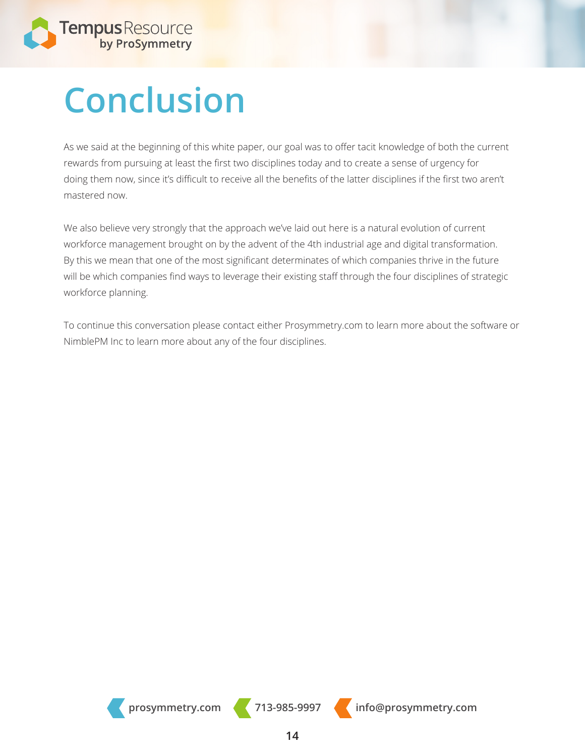

# **Conclusion**

As we said at the beginning of this white paper, our goal was to offer tacit knowledge of both the current rewards from pursuing at least the first two disciplines today and to create a sense of urgency for doing them now, since it's difficult to receive all the benefits of the latter disciplines if the first two aren't mastered now.

We also believe very strongly that the approach we've laid out here is a natural evolution of current workforce management brought on by the advent of the 4th industrial age and digital transformation. By this we mean that one of the most significant determinates of which companies thrive in the future will be which companies find ways to leverage their existing staff through the four disciplines of strategic workforce planning.

To continue this conversation please contact either Prosymmetry.com to learn more about the software or NimblePM Inc to learn more about any of the four disciplines.

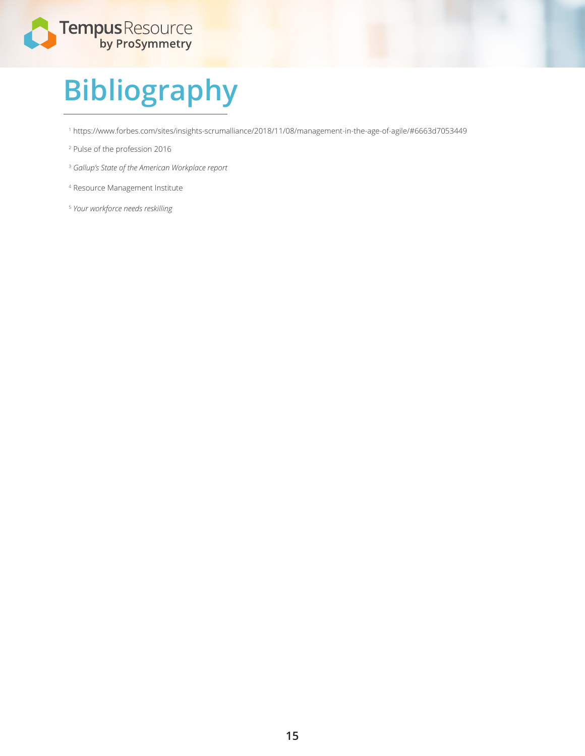

# **Bibliography**

https://www.forbes.com/sites/insights-scrumalliance/2018/11/08/management-in-the-age-of-agile/#6663d7053449

- Pulse of the profession 2016
- *Gallup's State of the American Workplace report*
- Resource Management Institute
- *Your workforce needs reskilling*